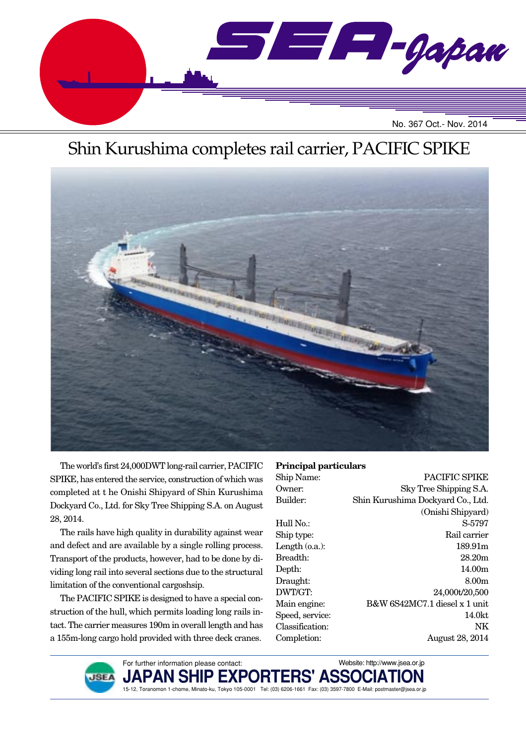

# Shin Kurushima completes rail carrier, PACIFIC SPIKE



The world's first 24,000DWT long-rail carrier, PACIFIC SPIKE, has entered the service, construction of which was completed at t he Onishi Shipyard of Shin Kurushima Dockyard Co., Ltd. for Sky Tree Shipping S.A. on August 28, 2014.

The rails have high quality in durability against wear and defect and are available by a single rolling process. Transport of the products, however, had to be done by dividing long rail into several sections due to the structural limitation of the conventional cargoshsip.

The PACIFIC SPIKE is designed to have a special construction of the hull, which permits loading long rails intact. The carrier measures 190m in overall length and has a 155m-long cargo hold provided with three deck cranes.

#### **Principal particulars**

| Ship Name:      | PACIFIC SPIKE                     |
|-----------------|-----------------------------------|
| Owner:          | Sky Tree Shipping S.A.            |
| Builder:        | Shin Kurushima Dockyard Co., Ltd. |
|                 | (Onishi Shipyard)                 |
| Hull No.:       | S-5797                            |
| Ship type:      | Rail carrier                      |
| Length (o.a.):  | 189.91 <sub>m</sub>               |
| Breadth:        | 28.20 <sub>m</sub>                |
| Depth:          | 14.00 <sub>m</sub>                |
| Draught:        | 8.00m                             |
| DWT/GT:         | 24,000t/20,500                    |
| Main engine:    | B&W 6S42MC7.1 diesel x 1 unit     |
| Speed, service: | 14.0kt                            |
| Classification: | ΝK                                |
| Completion:     | <b>August 28, 2014</b>            |
|                 |                                   |

Website: http://www.jsea.or.jp



**JAPAN SHIP EXPORTERS' ASSOCIATION** 15-12, Toranomon 1-chome, Minato-ku, Tokyo 105-0001 Tel: (03) 6206-1661 Fax: (03) 3597-7800 E-Mail: postmaster@jsea.or.jp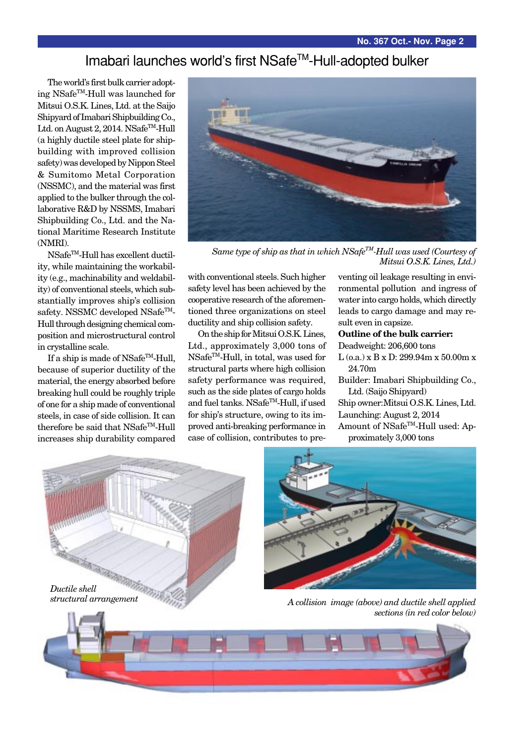# Imabari launches world's first NSafe™-Hull-adopted bulker

The world's first bulk carrier adopting NSafeTM-Hull was launched for Mitsui O.S.K. Lines, Ltd. at the Saijo Shipyard of Imabari Shipbuilding Co., Ltd. on August 2, 2014. NSafe<sup>TM</sup>-Hull (a highly ductile steel plate for shipbuilding with improved collision safety) was developed by Nippon Steel & Sumitomo Metal Corporation (NSSMC), and the material was first applied to the bulker through the collaborative R&D by NSSMS, Imabari Shipbuilding Co., Ltd. and the National Maritime Research Institute (NMRI).

NSafe<sup>™</sup>-Hull has excellent ductility, while maintaining the workability (e.g., machinability and weldability) of conventional steels, which substantially improves ship's collision safety. NSSMC developed  $NSafe^{TM}$ -Hull through designing chemical composition and microstructural control in crystalline scale.

If a ship is made of NSafe<sup>TM</sup>-Hull, because of superior ductility of the material, the energy absorbed before breaking hull could be roughly triple of one for a ship made of conventional steels, in case of side collision. It can therefore be said that NSafe<sup>TM</sup>-Hull increases ship durability compared



*Same type of ship as that in which NSafeTM-Hull was used (Courtesy of Mitsui O.S.K. Lines, Ltd.)*

with conventional steels. Such higher safety level has been achieved by the cooperative research of the aforementioned three organizations on steel ductility and ship collision safety.

On the ship for Mitsui O.S.K. Lines, Ltd., approximately 3,000 tons of NSafeTM-Hull, in total, was used for structural parts where high collision safety performance was required, such as the side plates of cargo holds and fuel tanks. NSafeTM-Hull, if used for ship's structure, owing to its improved anti-breaking performance in case of collision, contributes to pre-

venting oil leakage resulting in environmental pollution and ingress of water into cargo holds, which directly leads to cargo damage and may result even in capsize.

#### **Outline of the bulk carrier:**

Deadweight: 206,600 tons

- $L$  (o.a.) x B x D: 299.94m x 50.00m x 24.70m
- Builder: Imabari Shipbuilding Co., Ltd. (Saijo Shipyard)

Ship owner:Mitsui O.S.K. Lines, Ltd. Launching: August 2, 2014 Amount of NSafe<sup>™</sup>-Hull used: Approximately 3,000 tons





*sections (in red color below)*

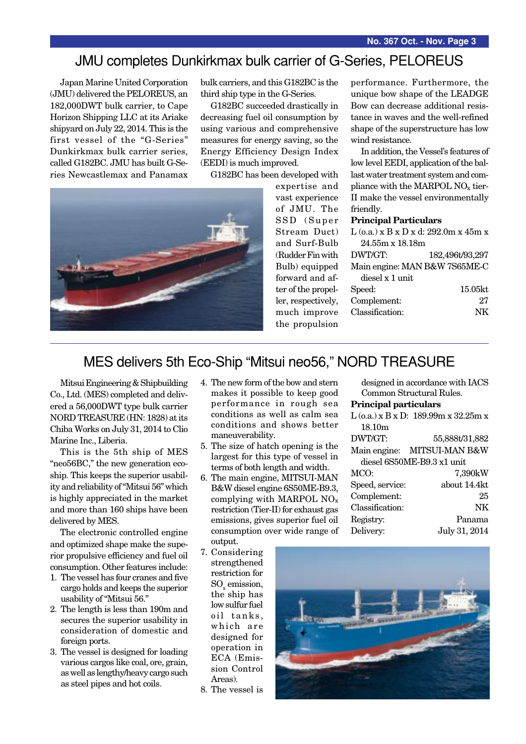### JMU completes Dunkirkmax bulk carrier of G-Series, PELOREUS

Japan Marine United Corporation (JMU) delivered the PELOREUS, an 182,000DWT bulk carrier, to Cape Horizon Shipping LLC at its Ariake shipyard on July 22, 2014. This is the first vessel of the "G-Series" Dunkirkmax bulk carrier series, called G182BC. JMU has built G-Series Newcastlemax and Panamax bulk carriers, and this G182BC is the third ship type in the G-Series.

G182BC succeeded drastically in decreasing fuel oil consumption by using various and comprehensive measures for energy saving, so the Energy Efficiency Design Index (EEDI) is much improved.

G182BC has been developed with



expertise and vast experience of JMU. The SSD (Super Stream Duct) and Surf-Bulb (Rudder Fin with Bulb) equipped forward and after of the propeller, respectively, much improve the propulsion

performance. Furthermore, the unique bow shape of the LEADGE Bow can decrease additional resistance in waves and the well-refined shape of the superstructure has low wind resistance.

In addition, the Vessel's features of low level EEDI, application of the ballast water treatment system and compliance with the MARPOL  $NO<sub>x</sub>$  tier-II make the vessel environmentally friendly.

#### **Principal Particulars**

| $L$ (o.a.) x B x D x d: 292.0m x 45m x |                 |  |  |  |
|----------------------------------------|-----------------|--|--|--|
| $24.55m \times 18.18m$                 |                 |  |  |  |
| DWT/GT:                                | 182,496t/93,297 |  |  |  |
| Main engine: MAN B&W 7S65ME-C          |                 |  |  |  |
| diesel x 1 unit                        |                 |  |  |  |
| Speed:                                 | 15.05kt         |  |  |  |
| Complement:                            | 27              |  |  |  |
| Classification:                        | NK              |  |  |  |
|                                        |                 |  |  |  |

designed in accordance with IACS Common Structural Rules.

 $L$  (o.a.) x B x D: 189.99m x 32.25m x

DWT/GT: 55,888t/31,882 Main engine: MITSUI-MAN B&W diesel 6S50ME-B9.3 x1 unit MCO: 7,390kW Speed, service: about 14.4kt Complement: 25 Classification: NK Registry: Panama Delivery: July 31, 2014

**Principal particulars**

18.10m

# MES delivers 5th Eco-Ship "Mitsui neo56," NORD TREASURE

Mitsui Engineering & Shipbuilding Co., Ltd. (MES) completed and delivered a 56,000DWT type bulk carrier NORD TREASURE (HN: 1828) at its Chiba Works on July 31, 2014 to Clio Marine Inc., Liberia.

This is the 5th ship of MES "neo56BC," the new generation ecoship. This keeps the superior usability and reliability of "Mitsui 56" which is highly appreciated in the market and more than 160 ships have been delivered by MES.

The electronic controlled engine and optimized shape make the superior propulsive efficiency and fuel oil consumption. Other features include:

- 1. The vessel has four cranes and five cargo holds and keeps the superior usability of "Mitsui 56."
- 2. The length is less than 190m and secures the superior usability in consideration of domestic and foreign ports.
- 3. The vessel is designed for loading various cargos like coal, ore, grain, as well as lengthy/heavy cargo such as steel pipes and hot coils.
- 4. The new form of the bow and stern makes it possible to keep good performance in rough sea conditions as well as calm sea conditions and shows better maneuverability.
- 5. The size of hatch opening is the largest for this type of vessel in terms of both length and width.
- 6. The main engine, MITSUI-MAN B&W diesel engine 6S50ME-B9.3, complying with MARPOL NOx restriction (Tier-II) for exhaust gas emissions, gives superior fuel oil consumption over wide range of output.
- 7. Considering strengthened restriction for  $\mathrm{SO}_{x}$  emission, the ship has low sulfur fuel oil tanks, which are designed for operation in ECA (Emission Control Areas).
- 8. The vessel is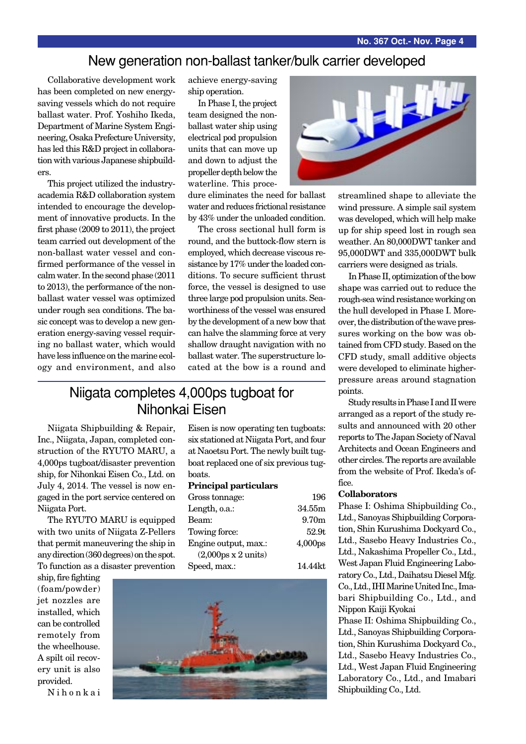### New generation non-ballast tanker/bulk carrier developed

Collaborative development work has been completed on new energysaving vessels which do not require ballast water. Prof. Yoshiho Ikeda, Department of Marine System Engineering, Osaka Prefecture University, has led this R&D project in collaboration with various Japanese shipbuilders.

This project utilized the industryacademia R&D collaboration system intended to encourage the development of innovative products. In the first phase (2009 to 2011), the project team carried out development of the non-ballast water vessel and confirmed performance of the vessel in calm water. In the second phase (2011 to 2013), the performance of the nonballast water vessel was optimized under rough sea conditions. The basic concept was to develop a new generation energy-saving vessel requiring no ballast water, which would have less influence on the marine ecology and environment, and also achieve energy-saving ship operation.

In Phase I, the project team designed the nonballast water ship using electrical pod propulsion units that can move up and down to adjust the propeller depth below the waterline. This proce-

dure eliminates the need for ballast water and reduces frictional resistance by 43% under the unloaded condition.

The cross sectional hull form is round, and the buttock-flow stern is employed, which decrease viscous resistance by 17% under the loaded conditions. To secure sufficient thrust force, the vessel is designed to use three large pod propulsion units. Seaworthiness of the vessel was ensured by the development of a new bow that can halve the slamming force at very shallow draught navigation with no ballast water. The superstructure located at the bow is a round and

### Niigata completes 4,000ps tugboat for Nihonkai Eisen

Niigata Shipbuilding & Repair, Inc., Niigata, Japan, completed construction of the RYUTO MARU, a 4,000ps tugboat/disaster prevention ship, for Nihonkai Eisen Co., Ltd. on July 4, 2014. The vessel is now engaged in the port service centered on Niigata Port.

The RYUTO MARU is equipped with two units of Niigata Z-Pellers that permit maneuvering the ship in any direction (360 degrees) on the spot. To function as a disaster prevention

ship, fire fighting (foam/powder) jet nozzles are installed, which can be controlled remotely from the wheelhouse. A spilt oil recovery unit is also provided.

Nihonkai

Eisen is now operating ten tugboats: six stationed at Niigata Port, and four at Naoetsu Port. The newly built tugboat replaced one of six previous tugboats.

#### **Principal particulars**

| Gross tonnage:                            | 196                 |
|-------------------------------------------|---------------------|
| Length, o.a.:                             | 34.55m              |
| Beam:                                     | 9.70 <sub>m</sub>   |
| Towing force:                             | 52.9t               |
| Engine output, max.:                      | 4,000 <sub>ps</sub> |
| $(2,000\text{ps} \times 2 \text{ units})$ |                     |
| Speed, max.:                              | 14.44kt             |





streamlined shape to alleviate the wind pressure. A simple sail system was developed, which will help make up for ship speed lost in rough sea weather. An 80,000DWT tanker and 95,000DWT and 335,000DWT bulk carriers were designed as trials.

In Phase II, optimization of the bow shape was carried out to reduce the rough-sea wind resistance working on the hull developed in Phase I. Moreover, the distribution of the wave pressures working on the bow was obtained from CFD study. Based on the CFD study, small additive objects were developed to eliminate higherpressure areas around stagnation points.

Study results in Phase I and II were arranged as a report of the study results and announced with 20 other reports to The Japan Society of Naval Architects and Ocean Engineers and other circles. The reports are available from the website of Prof. Ikeda's office.

#### **Collaborators**

Phase I: Oshima Shipbuilding Co., Ltd., Sanoyas Shipbuilding Corporation, Shin Kurushima Dockyard Co., Ltd., Sasebo Heavy Industries Co., Ltd., Nakashima Propeller Co., Ltd., West Japan Fluid Engineering Laboratory Co., Ltd., Daihatsu Diesel Mfg. Co., Ltd., IHI Marine United Inc., Imabari Shipbuilding Co., Ltd., and Nippon Kaiji Kyokai

Phase II: Oshima Shipbuilding Co., Ltd., Sanoyas Shipbuilding Corporation, Shin Kurushima Dockyard Co., Ltd., Sasebo Heavy Industries Co., Ltd., West Japan Fluid Engineering Laboratory Co., Ltd., and Imabari Shipbuilding Co., Ltd.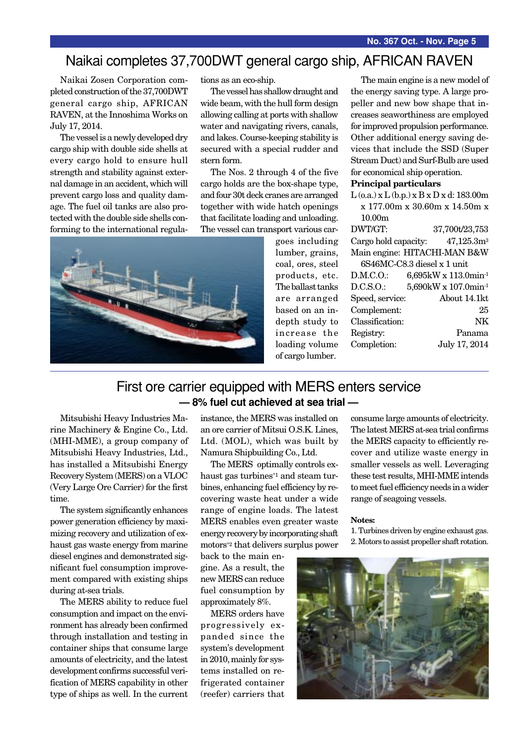### Naikai completes 37,700DWT general cargo ship, AFRICAN RAVEN

Naikai Zosen Corporation completed construction of the 37,700DWT general cargo ship, AFRICAN RAVEN, at the Innoshima Works on July 17, 2014.

The vessel is a newly developed dry cargo ship with double side shells at every cargo hold to ensure hull strength and stability against external damage in an accident, which will prevent cargo loss and quality damage. The fuel oil tanks are also protected with the double side shells conforming to the international regulations as an eco-ship.

The vessel has shallow draught and wide beam, with the hull form design allowing calling at ports with shallow water and navigating rivers, canals, and lakes. Course-keeping stability is secured with a special rudder and stern form.

The Nos. 2 through 4 of the five cargo holds are the box-shape type, and four 30t deck cranes are arranged together with wide hatch openings that facilitate loading and unloading. The vessel can transport various car-



goes including lumber, grains, coal, ores, steel products, etc. The ballast tanks are arranged based on an indepth study to increase the loading volume of cargo lumber.

The main engine is a new model of the energy saving type. A large propeller and new bow shape that increases seaworthiness are employed for improved propulsion performance. Other additional energy saving devices that include the SSD (Super Stream Duct) and Surf-Bulb are used for economical ship operation.

#### **Principal particulars**

L (o.a.) x L (b.p.) x B x D x d: 183.00m x 177.00m x 30.60m x 14.50m x 10.00m

DWT/GT: 37,700t/23,753 Cargo hold capacity: 47,125.3m3 Main engine: HITACHI-MAN B&W 6S46MC-C8.3 diesel x 1 unit D.M.C.O.: 6,695kW x 113.0min-1 D.C.S.O.: 5,690kW x 107.0min-1 Speed, service: About 14.1kt Complement: 25 Classification: NK Registry: Panama Completion: July 17, 2014

### First ore carrier equipped with MERS enters service **— 8% fuel cut achieved at sea trial —**

Mitsubishi Heavy Industries Marine Machinery & Engine Co., Ltd. (MHI-MME), a group company of Mitsubishi Heavy Industries, Ltd., has installed a Mitsubishi Energy Recovery System (MERS) on a VLOC (Very Large Ore Carrier) for the first time.

The system significantly enhances power generation efficiency by maximizing recovery and utilization of exhaust gas waste energy from marine diesel engines and demonstrated significant fuel consumption improvement compared with existing ships during at-sea trials.

The MERS ability to reduce fuel consumption and impact on the environment has already been confirmed through installation and testing in container ships that consume large amounts of electricity, and the latest development confirms successful verification of MERS capability in other type of ships as well. In the current instance, the MERS was installed on an ore carrier of Mitsui O.S.K. Lines, Ltd. (MOL), which was built by Namura Shipbuilding Co., Ltd.

The MERS optimally controls exhaust gas turbines\*1 and steam turbines, enhancing fuel efficiency by recovering waste heat under a wide range of engine loads. The latest MERS enables even greater waste energy recovery by incorporating shaft motors\*2 that delivers surplus power

back to the main engine. As a result, the new MERS can reduce fuel consumption by approximately 8%.

MERS orders have progressively expanded since the system's development in 2010, mainly for systems installed on refrigerated container (reefer) carriers that consume large amounts of electricity. The latest MERS at-sea trial confirms the MERS capacity to efficiently recover and utilize waste energy in smaller vessels as well. Leveraging these test results, MHI-MME intends to meet fuel efficiency needs in a wider range of seagoing vessels.

#### **Notes:**

1. Turbines driven by engine exhaust gas. 2. Motors to assist propeller shaft rotation.